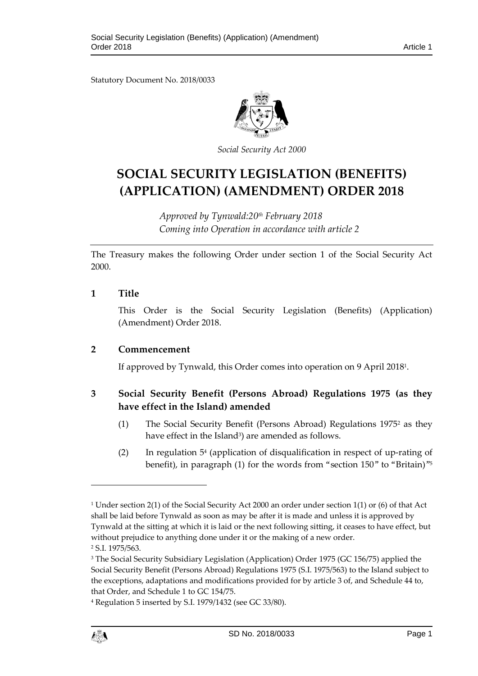Statutory Document No. 2018/0033



*Social Security Act 2000*

# **SOCIAL SECURITY LEGISLATION (BENEFITS) (APPLICATION) (AMENDMENT) ORDER 2018**

*Approved by Tynwald:20th February 2018 Coming into Operation in accordance with article 2*

The Treasury makes the following Order under section 1 of the Social Security Act 2000.

## **1 Title**

This Order is the Social Security Legislation (Benefits) (Application) (Amendment) Order 2018.

## **2 Commencement**

If approved by Tynwald, this Order comes into operation on 9 April 2018<sup>1</sup> .

## **3 Social Security Benefit (Persons Abroad) Regulations 1975 (as they have effect in the Island) amended**

- (1) The Social Security Benefit (Persons Abroad) Regulations 1975<sup>2</sup> as they have effect in the Island<sup>3</sup>) are amended as follows.
- (2) In regulation 5<sup>4</sup> (application of disqualification in respect of up-rating of benefit), in paragraph (1) for the words from "section 150" to "Britain)"<sup>5</sup>

 $\overline{a}$ 

<sup>1</sup> Under section 2(1) of the Social Security Act 2000 an order under section 1(1) or (6) of that Act shall be laid before Tynwald as soon as may be after it is made and unless it is approved by Tynwald at the sitting at which it is laid or the next following sitting, it ceases to have effect, but without prejudice to anything done under it or the making of a new order. <sup>2</sup> S.I. 1975/563.

<sup>&</sup>lt;sup>3</sup> The Social Security Subsidiary Legislation (Application) Order 1975 (GC 156/75) applied the Social Security Benefit (Persons Abroad) Regulations 1975 (S.I. 1975/563) to the Island subject to the exceptions, adaptations and modifications provided for by article 3 of, and Schedule 44 to, that Order, and Schedule 1 to GC 154/75.

<sup>4</sup> Regulation 5 inserted by S.I. 1979/1432 (see GC 33/80).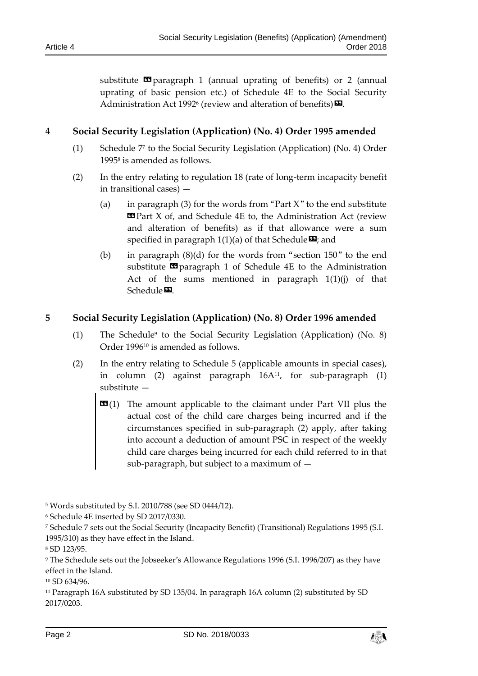substitute  $\blacksquare$  paragraph 1 (annual uprating of benefits) or 2 (annual uprating of basic pension etc.) of Schedule 4E to the Social Security Administration Act 1992 $^{\rm 6}$  (review and alteration of benefits) $\bm{\Xi}$ .

## **4 Social Security Legislation (Application) (No. 4) Order 1995 amended**

- (1) Schedule 7<sup>7</sup> to the Social Security Legislation (Application) (No. 4) Order 1995<sup>8</sup> is amended as follows.
- (2) In the entry relating to regulation 18 (rate of long-term incapacity benefit in transitional cases) —
	- (a) in paragraph (3) for the words from "Part  $X$ " to the end substitute  $\Phi$  Part X of, and Schedule 4E to, the Administration Act (review and alteration of benefits) as if that allowance were a sum specified in paragraph  $1(1)(a)$  of that Schedule  $\Sigma$ ; and
	- (b) in paragraph (8)(d) for the words from "section 150" to the end substitute  $\Box$  paragraph 1 of Schedule 4E to the Administration Act of the sums mentioned in paragraph  $1(1)(j)$  of that Schedule $\mathbf{E}$ .

## **5 Social Security Legislation (Application) (No. 8) Order 1996 amended**

- (1) The Schedule<sup>9</sup> to the Social Security Legislation (Application) (No. 8) Order 1996<sup>10</sup> is amended as follows.
- (2) In the entry relating to Schedule 5 (applicable amounts in special cases), in column (2) against paragraph  $16A<sup>11</sup>$ , for sub-paragraph (1) substitute —
	- **The amount applicable to the claimant under Part VII plus the** actual cost of the child care charges being incurred and if the circumstances specified in sub-paragraph (2) apply, after taking into account a deduction of amount PSC in respect of the weekly child care charges being incurred for each child referred to in that sub-paragraph, but subject to a maximum of —

**.** 

<sup>10</sup> SD 634/96.



<sup>5</sup> Words substituted by S.I. 2010/788 (see SD 0444/12).

<sup>6</sup> Schedule 4E inserted by SD 2017/0330.

<sup>7</sup> Schedule 7 sets out the Social Security (Incapacity Benefit) (Transitional) Regulations 1995 (S.I. 1995/310) as they have effect in the Island.

<sup>8</sup> SD 123/95.

<sup>9</sup> The Schedule sets out the Jobseeker's Allowance Regulations 1996 (S.I. 1996/207) as they have effect in the Island.

<sup>11</sup> Paragraph 16A substituted by SD 135/04. In paragraph 16A column (2) substituted by SD 2017/0203.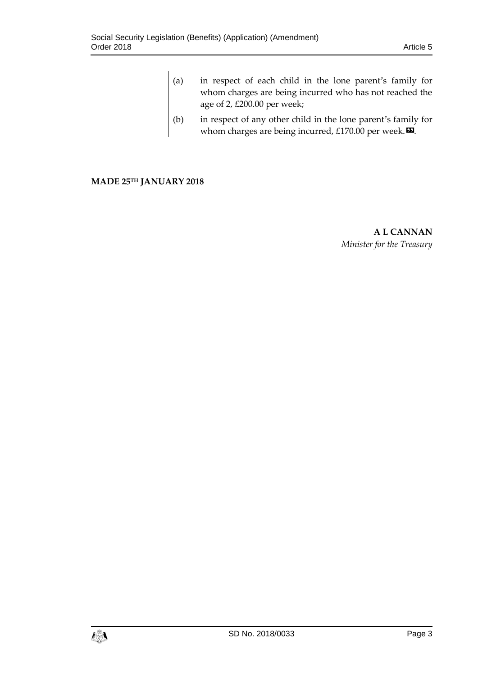- (a) in respect of each child in the lone parent's family for whom charges are being incurred who has not reached the age of 2, £200.00 per week;
- (b) in respect of any other child in the lone parent's family for whom charges are being incurred, £170.00 per week. $\boldsymbol{\mathsf{\Xi}}$ .

#### **MADE 25TH JANUARY 2018**

**A L CANNAN** *Minister for the Treasury*